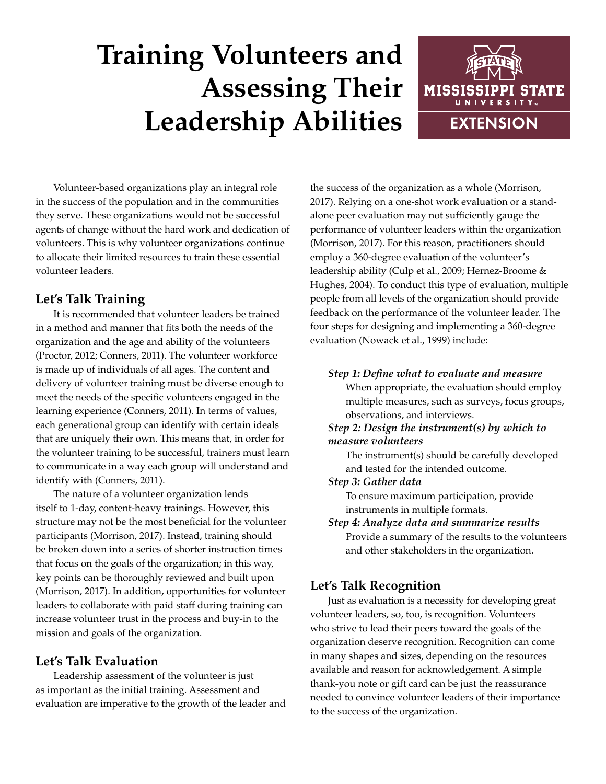# **Training Volunteers and Assessing Their Leadership Abilities**



Volunteer-based organizations play an integral role in the success of the population and in the communities they serve. These organizations would not be successful agents of change without the hard work and dedication of volunteers. This is why volunteer organizations continue to allocate their limited resources to train these essential volunteer leaders.

## **Let's Talk Training**

It is recommended that volunteer leaders be trained in a method and manner that fits both the needs of the organization and the age and ability of the volunteers (Proctor, 2012; Conners, 2011). The volunteer workforce is made up of individuals of all ages. The content and delivery of volunteer training must be diverse enough to meet the needs of the specific volunteers engaged in the learning experience (Conners, 2011). In terms of values, each generational group can identify with certain ideals that are uniquely their own. This means that, in order for the volunteer training to be successful, trainers must learn to communicate in a way each group will understand and identify with (Conners, 2011).

The nature of a volunteer organization lends itself to 1-day, content-heavy trainings. However, this structure may not be the most beneficial for the volunteer participants (Morrison, 2017). Instead, training should be broken down into a series of shorter instruction times that focus on the goals of the organization; in this way, key points can be thoroughly reviewed and built upon (Morrison, 2017). In addition, opportunities for volunteer leaders to collaborate with paid staff during training can increase volunteer trust in the process and buy-in to the mission and goals of the organization.

## **Let's Talk Evaluation**

Leadership assessment of the volunteer is just as important as the initial training. Assessment and evaluation are imperative to the growth of the leader and

the success of the organization as a whole (Morrison, 2017). Relying on a one-shot work evaluation or a standalone peer evaluation may not sufficiently gauge the performance of volunteer leaders within the organization (Morrison, 2017). For this reason, practitioners should employ a 360-degree evaluation of the volunteer's leadership ability (Culp et al., 2009; Hernez-Broome & Hughes, 2004). To conduct this type of evaluation, multiple people from all levels of the organization should provide feedback on the performance of the volunteer leader. The four steps for designing and implementing a 360-degree evaluation (Nowack et al., 1999) include:

### *Step 1: Define what to evaluate and measure*

When appropriate, the evaluation should employ multiple measures, such as surveys, focus groups, observations, and interviews.

### *Step 2: Design the instrument(s) by which to measure volunteers*

The instrument(s) should be carefully developed and tested for the intended outcome.

#### *Step 3: Gather data*

To ensure maximum participation, provide instruments in multiple formats.

*Step 4: Analyze data and summarize results* Provide a summary of the results to the volunteers and other stakeholders in the organization.

## **Let's Talk Recognition**

Just as evaluation is a necessity for developing great volunteer leaders, so, too, is recognition. Volunteers who strive to lead their peers toward the goals of the organization deserve recognition. Recognition can come in many shapes and sizes, depending on the resources available and reason for acknowledgement. A simple thank-you note or gift card can be just the reassurance needed to convince volunteer leaders of their importance to the success of the organization.